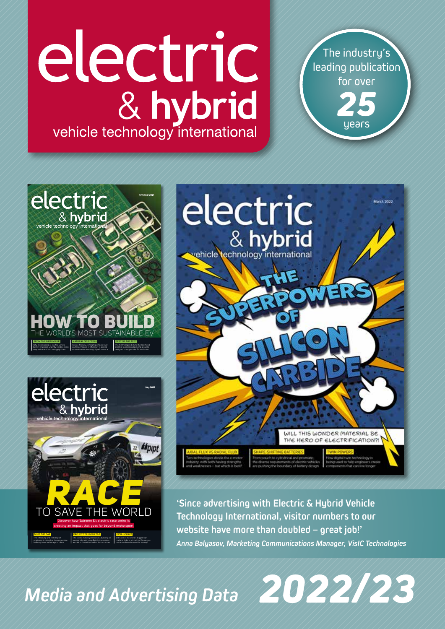# electric & hybrid vehicle technology international

The industry's leading publication for over *25*

years



**'Since advertising with Electric & Hybrid Vehicle Technology International, visitor numbers to our website have more than doubled – great job!'** *Anna Balyasov, Marketing Communications Manager, VisIC Technologies*

*2022/23*

*Media and Advertising Data* 

INDIA INSIGHT With one of the world's biggest car markets, India is primed for EV success but what obstacles stand in its way?

WORLD

MIND THE GAP The retraining and reskilling of engineers is critical as the automotive industry faces a shortage of talent

FROM THE GROUND UP Why the sourcing of electric vehicle battery materials urgently needs a more responsible and secure supply chain

NATURAL SELECTION An eco-friendly concept sports car built on the principles of efficiency is aiming to redefine the meaning of performance

& hybrid

electric

electric

MA Business Ltd electric & hybrid vehicle technology international July 2021

PROJECT TRIUMPH TE-1 The iconic motorcycle brand is building an electric bike with pure British innovation – we talk to those involved to find out more

Discover how Extreme E's electric race series is creating an impact that goes far beyond motorsport

TO SAVE THE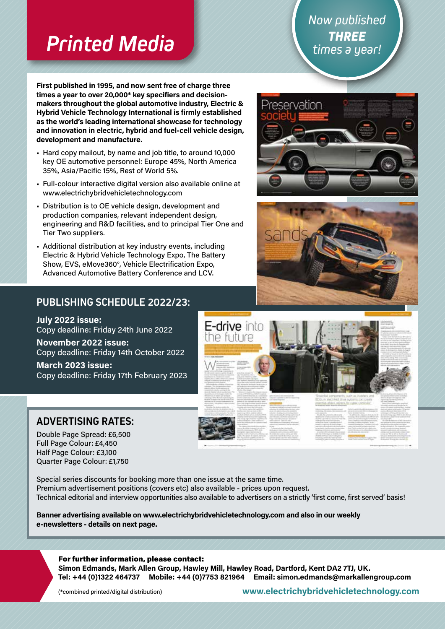### *Printed Media*

**First published in 1995, and now sent free of charge three times a year to over 20,000\* key specifiers and decisionmakers throughout the global automotive industry, Electric & Hybrid Vehicle Technology International is firmly established as the world's leading international showcase for technology and innovation in electric, hybrid and fuel-cell vehicle design, development and manufacture.**

- Hard copy mailout, by name and job title, to around 10,000 key OE automotive personnel: Europe 45%, North America 35%, Asia/Pacific 15%, Rest of World 5%.
- Full-colour interactive digital version also available online at www.electrichybridvehicletechnology.com
- Distribution is to OE vehicle design, development and production companies, relevant independent design, engineering and R&D facilities, and to principal Tier One and Tier Two suppliers.
- Additional distribution at key industry events, including Electric & Hybrid Vehicle Technology Expo, The Battery Show, EVS, eMove360°, Vehicle Electrification Expo, Advanced Automotive Battery Conference and LCV.

### **PUBLISHING SCHEDULE 2022/23:**

**July 2022 issue:** Copy deadline: Friday 24th June 2022

**November 2022 issue:** Copy deadline: Friday 14th October 2022

**March 2023 issue:** Copy deadline: Friday 17th February 2023

### **ADVERTISING RATES:**

Double Page Spread: £6,500 Full Page Colour: £4,450 Half Page Colour: £3,100 Quarter Page Colour: £1,750

Special series discounts for booking more than one issue at the same time. Premium advertisement positions (covers etc) also available - prices upon request. Technical editorial and interview opportunities also available to advertisers on a strictly 'first come, first served' basis!

**Banner advertising available on www.electrichybridvehicletechnology.com and also in our weekly e-newsletters - details on next page.**

### For further information, please contact:

**Simon Edmands, Mark Allen Group, Hawley Mill, Hawley Road, Dartford, Kent DA2 7TJ, UK. Tel: +44 (0)1322 464737 Mobile: +44 (0)7753 821964 Email: simon.edmands@markallengroup.com**

(\*combined printed/digital distribution)

**www.electrichybridvehicletechnology.com**